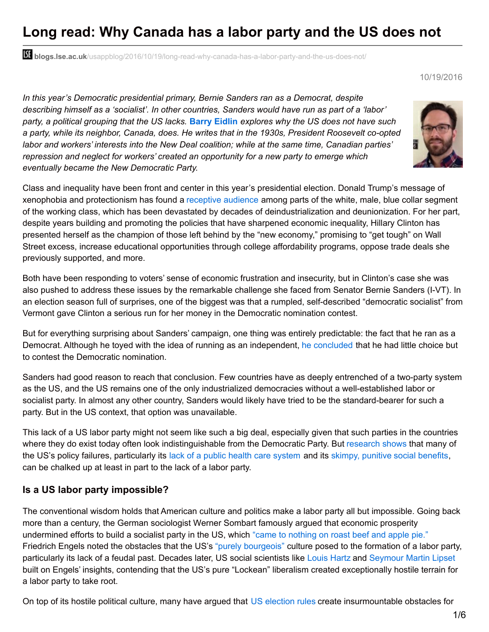# **Long read: Why Canada has a labor party and the US does not**

**blogs.lse.ac.uk**[/usappblog/2016/10/19/long-read-why-canada-has-a-labor-party-and-the-us-does-not/](http://blogs.lse.ac.uk/usappblog/2016/10/19/long-read-why-canada-has-a-labor-party-and-the-us-does-not/)

#### 10/19/2016

*In this year's Democratic presidential primary, Bernie Sanders ran as a Democrat, despite describing himself as a 'socialist'. In other countries, Sanders would have run as part of a 'labor' party, a political grouping that the US lacks.* **Barry [Eidlin](http://wp.me/p3I2YF-5Sp#Author)** *explores why the US does not have such a party, while its neighbor, Canada, does. He writes that in the 1930s, President Roosevelt co-opted labor and workers' interests into the New Deal coalition; while at the same time, Canadian parties' repression and neglect for workers' created an opportunity for a new party to emerge which eventually became the New Democratic Party.*

Class and inequality have been front and center in this year's presidential election. Donald Trump's message of xenophobia and protectionism has found a [receptive](https://baselinescenario.com/2016/10/17/you-cant-get-there-from-here/) audience among parts of the white, male, blue collar segment of the working class, which has been devastated by decades of deindustrialization and deunionization. For her part, despite years building and promoting the policies that have sharpened economic inequality, Hillary Clinton has presented herself as the champion of those left behind by the "new economy," promising to "get tough" on Wall Street excess, increase educational opportunities through college affordability programs, oppose trade deals she previously supported, and more.

Both have been responding to voters' sense of economic frustration and insecurity, but in Clinton's case she was also pushed to address these issues by the remarkable challenge she faced from Senator Bernie Sanders (I-VT). In an election season full of surprises, one of the biggest was that a rumpled, self-described "democratic socialist" from Vermont gave Clinton a serious run for her money in the Democratic nomination contest.

But for everything surprising about Sanders' campaign, one thing was entirely predictable: the fact that he ran as a Democrat. Although he toyed with the idea of running as an independent, he [concluded](http://www.msnbc.com/rachel-maddow-show/bernie-sanders-explains-his-loose-democratic-ties) that he had little choice but to contest the Democratic nomination.

Sanders had good reason to reach that conclusion. Few countries have as deeply entrenched of a two-party system as the US, and the US remains one of the only industrialized democracies without a well-established labor or socialist party. In almost any other country, Sanders would likely have tried to be the standard-bearer for such a party. But in the US context, that option was unavailable.

This lack of a US labor party might not seem like such a big deal, especially given that such parties in the countries where they do exist today often look indistinguishable from the Democratic Party. But [research](http://www.jstor.org/stable/2083198) shows that many of the US's policy failures, particularly its lack of a public health care [system](https://books.google.ca/books?id=iJ5X5AT1xbYC&lpg=PA294&dq=gottschalk shadow welfare state&pg=PP1#v=onepage&q&f=false) and its [skimpy,](http://www.jstor.org/stable/2095608) punitive social [benefits](https://books.google.ca/books?id=A6iWUsCWU64C&lpg=PA77&dq=quadagno pensions&pg=PP1#v=onepage&q&f=false), can be chalked up at least in part to the lack of a labor party.

#### **Is a US labor party impossible?**

The conventional wisdom holds that American culture and politics make a labor party all but impossible. Going back more than a century, the German sociologist Werner Sombart famously argued that economic prosperity undermined efforts to build a socialist party in the US, which "came to [nothing](https://books.google.ca/books?id=pVOuCwAAQBAJ&lpg=PR2&dq=why is there no socialism in the united states&pg=PA106#v=onepage&q=roast beef&f=false) on roast beef and apple pie." Friedrich Engels noted the obstacles that the US's "purely [bourgeois"](http://www.marxists.org/archive/marx/works/1890/letters/90_02_08.htm) culture posed to the formation of a labor party, particularly its lack of a feudal past. Decades later, US social scientists like [Louis](https://books.google.ca/books?id=VokvhXQBiAAC&lpg=PP1&dq=Hartz liberal tradition in america&pg=PP1#v=onepage&q&f=false) Hartz and [Seymour](https://books.google.ca/books?id=L2JlbMdZ1XwC&lpg=PP1&dq=Lipset american exceptionalism&pg=PP1#v=onepage&q&f=false) Martin Lipset built on Engels' insights, contending that the US's pure "Lockean" liberalism created exceptionally hostile terrain for a labor party to take root.

On top of its hostile political culture, many have argued that US [election](https://www.washingtonpost.com/news/the-fix/wp/2016/04/27/why-are-there-only-two-parties-in-american-politics/) rules create insurmountable obstacles for

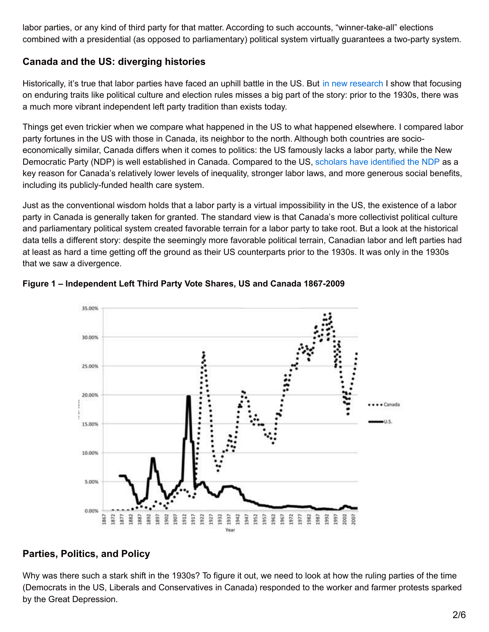labor parties, or any kind of third party for that matter. According to such accounts, "winner-take-all" elections combined with a presidential (as opposed to parliamentary) political system virtually guarantees a two-party system.

#### **Canada and the US: diverging histories**

Historically, it's true that labor parties have faced an uphill battle in the US. But in new [research](http://asr.sagepub.com/content/81/3/488.short) I show that focusing on enduring traits like political culture and election rules misses a big part of the story: prior to the 1930s, there was a much more vibrant independent left party tradition than exists today.

Things get even trickier when we compare what happened in the US to what happened elsewhere. I compared labor party fortunes in the US with those in Canada, its neighbor to the north. Although both countries are socioeconomically similar, Canada differs when it comes to politics: the US famously lacks a labor party, while the New Democratic Party (NDP) is well established in Canada. Compared to the US, scholars have [identified](https://books.google.ca/books?id=PUd7vAlbi_0C&lpg=PP1&pg=PP1#v=onepage&q&f=false) the NDP as a key reason for Canada's relatively lower levels of inequality, stronger labor laws, and more generous social benefits, including its publicly-funded health care system.

Just as the conventional wisdom holds that a labor party is a virtual impossibility in the US, the existence of a labor party in Canada is generally taken for granted. The standard view is that Canada's more collectivist political culture and parliamentary political system created favorable terrain for a labor party to take root. But a look at the historical data tells a different story: despite the seemingly more favorable political terrain, Canadian labor and left parties had at least as hard a time getting off the ground as their US counterparts prior to the 1930s. It was only in the 1930s that we saw a divergence.



**Figure 1 – Independent Left Third Party Vote Shares, US and Canada 1867-2009**

#### **Parties, Politics, and Policy**

Why was there such a stark shift in the 1930s? To figure it out, we need to look at how the ruling parties of the time (Democrats in the US, Liberals and Conservatives in Canada) responded to the worker and farmer protests sparked by the Great Depression.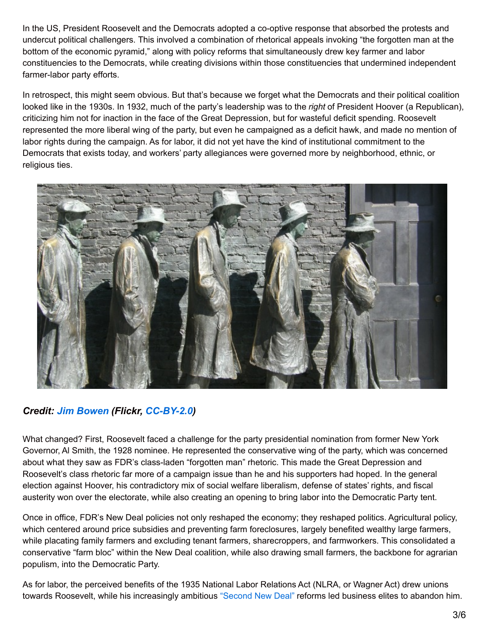In the US, President Roosevelt and the Democrats adopted a co-optive response that absorbed the protests and undercut political challengers. This involved a combination of rhetorical appeals invoking "the forgotten man at the bottom of the economic pyramid," along with policy reforms that simultaneously drew key farmer and labor constituencies to the Democrats, while creating divisions within those constituencies that undermined independent farmer-labor party efforts.

In retrospect, this might seem obvious. But that's because we forget what the Democrats and their political coalition looked like in the 1930s. In 1932, much of the party's leadership was to the *right* of President Hoover (a Republican), criticizing him not for inaction in the face of the Great Depression, but for wasteful deficit spending. Roosevelt represented the more liberal wing of the party, but even he campaigned as a deficit hawk, and made no mention of labor rights during the campaign. As for labor, it did not yet have the kind of institutional commitment to the Democrats that exists today, and workers' party allegiances were governed more by neighborhood, ethnic, or religious ties.



## *Credit: Jim [Bowen](https://www.flickr.com/photos/jamiedfw/) (Flickr, [CC-BY-2.0](https://creativecommons.org/licenses/by/2.0/))*

What changed? First, Roosevelt faced a challenge for the party presidential nomination from former New York Governor, Al Smith, the 1928 nominee. He represented the conservative wing of the party, which was concerned about what they saw as FDR's class-laden "forgotten man" rhetoric. This made the Great Depression and Roosevelt's class rhetoric far more of a campaign issue than he and his supporters had hoped. In the general election against Hoover, his contradictory mix of social welfare liberalism, defense of states' rights, and fiscal austerity won over the electorate, while also creating an opening to bring labor into the Democratic Party tent.

Once in office, FDR's New Deal policies not only reshaped the economy; they reshaped politics. Agricultural policy, which centered around price subsidies and preventing farm foreclosures, largely benefited wealthy large farmers, while placating family farmers and excluding tenant farmers, sharecroppers, and farmworkers. This consolidated a conservative "farm bloc" within the New Deal coalition, while also drawing small farmers, the backbone for agrarian populism, into the Democratic Party.

As for labor, the perceived benefits of the 1935 National Labor Relations Act (NLRA, or Wagner Act) drew unions towards Roosevelt, while his increasingly ambitious ["Second](https://en.wikipedia.org/wiki/Second_New_Deal) New Deal" reforms led business elites to abandon him.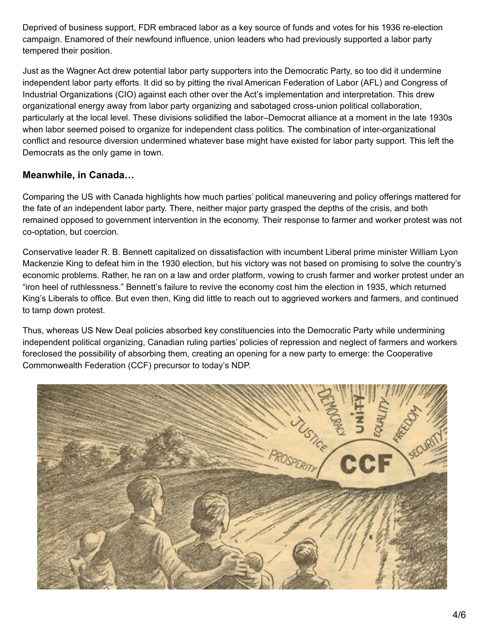Deprived of business support, FDR embraced labor as a key source of funds and votes for his 1936 re-election campaign. Enamored of their newfound influence, union leaders who had previously supported a labor party tempered their position.

Just as the Wagner Act drew potential labor party supporters into the Democratic Party, so too did it undermine independent labor party efforts. It did so by pitting the rival American Federation of Labor (AFL) and Congress of Industrial Organizations (CIO) against each other over the Act's implementation and interpretation. This drew organizational energy away from labor party organizing and sabotaged cross-union political collaboration, particularly at the local level. These divisions solidified the labor–Democrat alliance at a moment in the late 1930s when labor seemed poised to organize for independent class politics. The combination of inter-organizational conflict and resource diversion undermined whatever base might have existed for labor party support. This left the Democrats as the only game in town.

#### **Meanwhile, in Canada…**

Comparing the US with Canada highlights how much parties' political maneuvering and policy offerings mattered for the fate of an independent labor party. There, neither major party grasped the depths of the crisis, and both remained opposed to government intervention in the economy. Their response to farmer and worker protest was not co-optation, but coercion.

Conservative leader R. B. Bennett capitalized on dissatisfaction with incumbent Liberal prime minister William Lyon Mackenzie King to defeat him in the 1930 election, but his victory was not based on promising to solve the country's economic problems. Rather, he ran on a law and order platform, vowing to crush farmer and worker protest under an "iron heel of ruthlessness." Bennett's failure to revive the economy cost him the election in 1935, which returned King's Liberals to office. But even then, King did little to reach out to aggrieved workers and farmers, and continued to tamp down protest.

Thus, whereas US New Deal policies absorbed key constituencies into the Democratic Party while undermining independent political organizing, Canadian ruling parties' policies of repression and neglect of farmers and workers foreclosed the possibility of absorbing them, creating an opening for a new party to emerge: the Cooperative Commonwealth Federation (CCF) precursor to today's NDP.

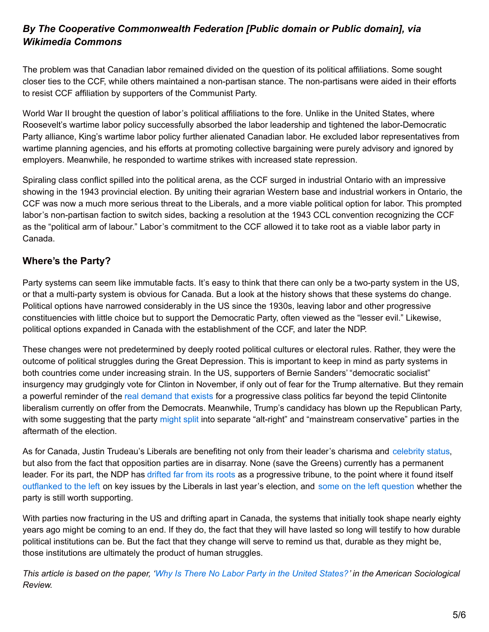## *By The Cooperative Commonwealth Federation [Public domain or Public domain], via Wikimedia Commons*

The problem was that Canadian labor remained divided on the question of its political affiliations. Some sought closer ties to the CCF, while others maintained a non-partisan stance. The non-partisans were aided in their efforts to resist CCF affiliation by supporters of the Communist Party.

World War II brought the question of labor's political affiliations to the fore. Unlike in the United States, where Roosevelt's wartime labor policy successfully absorbed the labor leadership and tightened the labor-Democratic Party alliance, King's wartime labor policy further alienated Canadian labor. He excluded labor representatives from wartime planning agencies, and his efforts at promoting collective bargaining were purely advisory and ignored by employers. Meanwhile, he responded to wartime strikes with increased state repression.

Spiraling class conflict spilled into the political arena, as the CCF surged in industrial Ontario with an impressive showing in the 1943 provincial election. By uniting their agrarian Western base and industrial workers in Ontario, the CCF was now a much more serious threat to the Liberals, and a more viable political option for labor. This prompted labor's non-partisan faction to switch sides, backing a resolution at the 1943 CCL convention recognizing the CCF as the "political arm of labour." Labor's commitment to the CCF allowed it to take root as a viable labor party in Canada.

## **Where's the Party?**

Party systems can seem like immutable facts. It's easy to think that there can only be a two-party system in the US, or that a multi-party system is obvious for Canada. But a look at the history shows that these systems do change. Political options have narrowed considerably in the US since the 1930s, leaving labor and other progressive constituencies with little choice but to support the Democratic Party, often viewed as the "lesser evil." Likewise, political options expanded in Canada with the establishment of the CCF, and later the NDP.

These changes were not predetermined by deeply rooted political cultures or electoral rules. Rather, they were the outcome of political struggles during the Great Depression. This is important to keep in mind as party systems in both countries come under increasing strain. In the US, supporters of Bernie Sanders' "democratic socialist" insurgency may grudgingly vote for Clinton in November, if only out of fear for the Trump alternative. But they remain a powerful reminder of the real [demand](https://www.jacobinmag.com/2016/10/bernie-sanders-polling-favorability-trump-hillary-clinton/) that exists for a progressive class politics far beyond the tepid Clintonite liberalism currently on offer from the Democrats. Meanwhile, Trump's candidacy has blown up the Republican Party, with some suggesting that the party [might](http://www.vox.com/policy-and-politics/2016/10/14/13272322/republicans-after-trump-alt-right) split into separate "alt-right" and "mainstream conservative" parties in the aftermath of the election.

As for Canada, Justin Trudeau's Liberals are benefiting not only from their leader's charisma and [celebrity](http://www.vox.com/2016/3/10/11193958/justin-trudeau-canada) status, but also from the fact that opposition parties are in disarray. None (save the Greens) currently has a permanent leader. For its part, the NDP has [drifted](https://www.jacobinmag.com/2014/07/canadas-third-way/) far from its roots as a progressive tribune, to the point where it found itself [outflanked](http://rabble.ca/news/2015/10/tax-rich-how-liberals-outflanked-ndp) to the left on key issues by the Liberals in last year's election, and some on the left [question](http://www.socialistproject.ca/bullet/1004.php) whether the party is still worth supporting.

With parties now fracturing in the US and drifting apart in Canada, the systems that initially took shape nearly eighty years ago might be coming to an end. If they do, the fact that they will have lasted so long will testify to how durable political institutions can be. But the fact that they change will serve to remind us that, durable as they might be, those institutions are ultimately the product of human struggles.

This article is based on the paper, 'Why Is There No Labor Party in the United [States?](http://asr.sagepub.com/content/81/3/488.short)' in the American Sociological *Review.*